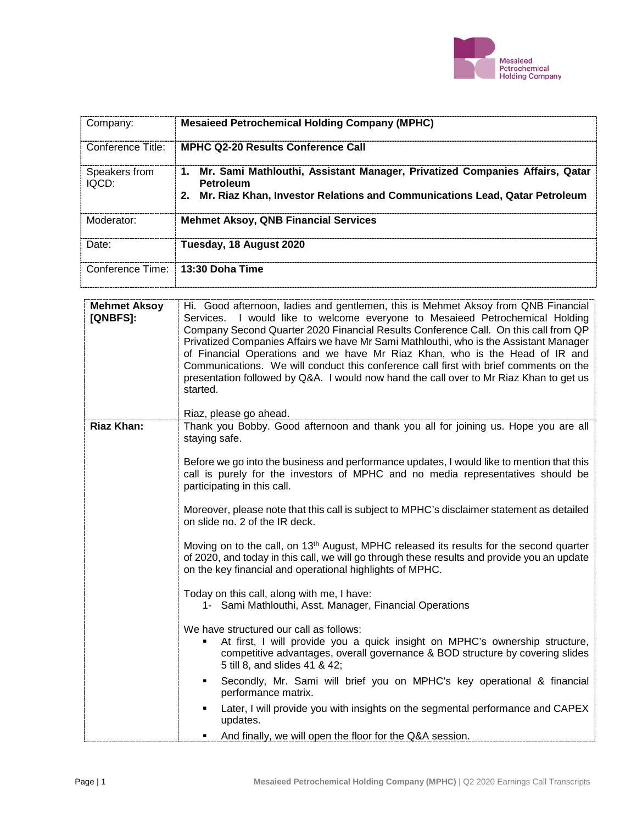

| Company:                           | <b>Mesaieed Petrochemical Holding Company (MPHC)</b>                                                                                                                      |
|------------------------------------|---------------------------------------------------------------------------------------------------------------------------------------------------------------------------|
| Conference Title:                  | <b>MPHC Q2-20 Results Conference Call</b>                                                                                                                                 |
| Speakers from<br>IOCD <sub>1</sub> | 1. Mr. Sami Mathlouthi, Assistant Manager, Privatized Companies Affairs, Qatar<br>Petroleum<br>Mr. Riaz Khan, Investor Relations and Communications Lead, Qatar Petroleum |
| Moderator:                         | <b>Mehmet Aksoy, QNB Financial Services</b>                                                                                                                               |
| Date:                              | Tuesday, 18 August 2020                                                                                                                                                   |
|                                    | Conference Time: 13:30 Doha Time                                                                                                                                          |

| <b>Mehmet Aksoy</b><br>[QNBFS]: | Hi. Good afternoon, ladies and gentlemen, this is Mehmet Aksoy from QNB Financial<br>Services. I would like to welcome everyone to Mesaieed Petrochemical Holding<br>Company Second Quarter 2020 Financial Results Conference Call. On this call from QP<br>Privatized Companies Affairs we have Mr Sami Mathlouthi, who is the Assistant Manager<br>of Financial Operations and we have Mr Riaz Khan, who is the Head of IR and<br>Communications. We will conduct this conference call first with brief comments on the<br>presentation followed by Q&A. I would now hand the call over to Mr Riaz Khan to get us<br>started.<br>Riaz, please go ahead. |
|---------------------------------|-----------------------------------------------------------------------------------------------------------------------------------------------------------------------------------------------------------------------------------------------------------------------------------------------------------------------------------------------------------------------------------------------------------------------------------------------------------------------------------------------------------------------------------------------------------------------------------------------------------------------------------------------------------|
| <b>Riaz Khan:</b>               | Thank you Bobby. Good afternoon and thank you all for joining us. Hope you are all<br>staying safe.<br>Before we go into the business and performance updates, I would like to mention that this<br>call is purely for the investors of MPHC and no media representatives should be<br>participating in this call.                                                                                                                                                                                                                                                                                                                                        |
|                                 | Moreover, please note that this call is subject to MPHC's disclaimer statement as detailed<br>on slide no. 2 of the IR deck.                                                                                                                                                                                                                                                                                                                                                                                                                                                                                                                              |
|                                 | Moving on to the call, on 13 <sup>th</sup> August, MPHC released its results for the second quarter<br>of 2020, and today in this call, we will go through these results and provide you an update<br>on the key financial and operational highlights of MPHC.                                                                                                                                                                                                                                                                                                                                                                                            |
|                                 | Today on this call, along with me, I have:<br>1- Sami Mathlouthi, Asst. Manager, Financial Operations                                                                                                                                                                                                                                                                                                                                                                                                                                                                                                                                                     |
|                                 | We have structured our call as follows:<br>At first, I will provide you a quick insight on MPHC's ownership structure,<br>competitive advantages, overall governance & BOD structure by covering slides<br>5 till 8, and slides 41 & 42;                                                                                                                                                                                                                                                                                                                                                                                                                  |
|                                 | Secondly, Mr. Sami will brief you on MPHC's key operational & financial<br>٠<br>performance matrix.                                                                                                                                                                                                                                                                                                                                                                                                                                                                                                                                                       |
|                                 | Later, I will provide you with insights on the segmental performance and CAPEX<br>updates.                                                                                                                                                                                                                                                                                                                                                                                                                                                                                                                                                                |
|                                 | And finally, we will open the floor for the Q&A session.                                                                                                                                                                                                                                                                                                                                                                                                                                                                                                                                                                                                  |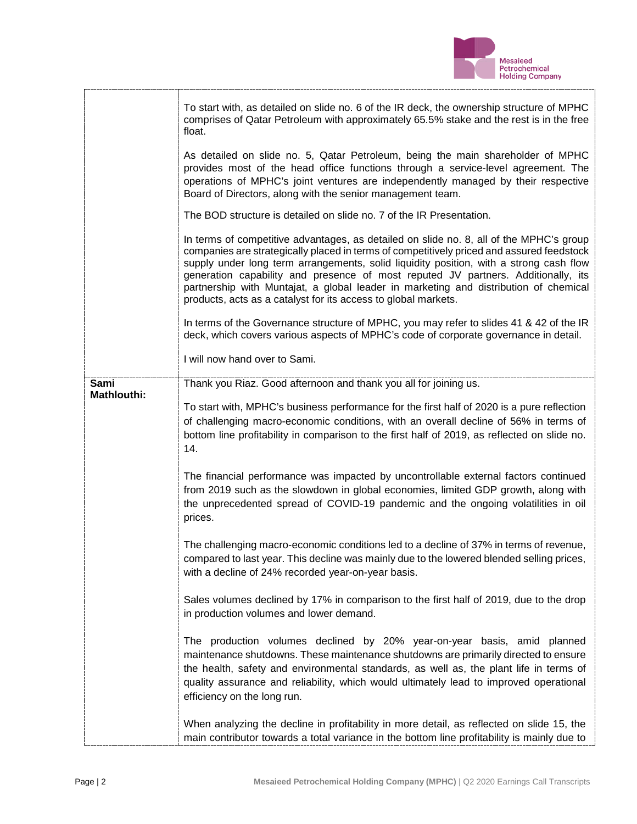

|                            | To start with, as detailed on slide no. 6 of the IR deck, the ownership structure of MPHC<br>comprises of Qatar Petroleum with approximately 65.5% stake and the rest is in the free<br>float.<br>As detailed on slide no. 5, Qatar Petroleum, being the main shareholder of MPHC                                                                                                                                                                                                                                             |
|----------------------------|-------------------------------------------------------------------------------------------------------------------------------------------------------------------------------------------------------------------------------------------------------------------------------------------------------------------------------------------------------------------------------------------------------------------------------------------------------------------------------------------------------------------------------|
|                            | provides most of the head office functions through a service-level agreement. The<br>operations of MPHC's joint ventures are independently managed by their respective<br>Board of Directors, along with the senior management team.                                                                                                                                                                                                                                                                                          |
|                            | The BOD structure is detailed on slide no. 7 of the IR Presentation.                                                                                                                                                                                                                                                                                                                                                                                                                                                          |
|                            | In terms of competitive advantages, as detailed on slide no. 8, all of the MPHC's group<br>companies are strategically placed in terms of competitively priced and assured feedstock<br>supply under long term arrangements, solid liquidity position, with a strong cash flow<br>generation capability and presence of most reputed JV partners. Additionally, its<br>partnership with Muntajat, a global leader in marketing and distribution of chemical<br>products, acts as a catalyst for its access to global markets. |
|                            | In terms of the Governance structure of MPHC, you may refer to slides 41 & 42 of the IR<br>deck, which covers various aspects of MPHC's code of corporate governance in detail.                                                                                                                                                                                                                                                                                                                                               |
|                            | I will now hand over to Sami.                                                                                                                                                                                                                                                                                                                                                                                                                                                                                                 |
| Sami<br><b>Mathlouthi:</b> | Thank you Riaz. Good afternoon and thank you all for joining us.                                                                                                                                                                                                                                                                                                                                                                                                                                                              |
|                            | To start with, MPHC's business performance for the first half of 2020 is a pure reflection<br>of challenging macro-economic conditions, with an overall decline of 56% in terms of<br>bottom line profitability in comparison to the first half of 2019, as reflected on slide no.<br>14.                                                                                                                                                                                                                                     |
|                            | The financial performance was impacted by uncontrollable external factors continued<br>from 2019 such as the slowdown in global economies, limited GDP growth, along with<br>the unprecedented spread of COVID-19 pandemic and the ongoing volatilities in oil<br>prices.                                                                                                                                                                                                                                                     |
|                            | The challenging macro-economic conditions led to a decline of 37% in terms of revenue,<br>compared to last year. This decline was mainly due to the lowered blended selling prices,<br>with a decline of 24% recorded year-on-year basis.                                                                                                                                                                                                                                                                                     |
|                            | Sales volumes declined by 17% in comparison to the first half of 2019, due to the drop<br>in production volumes and lower demand.                                                                                                                                                                                                                                                                                                                                                                                             |
|                            | The production volumes declined by 20% year-on-year basis, amid planned<br>maintenance shutdowns. These maintenance shutdowns are primarily directed to ensure<br>the health, safety and environmental standards, as well as, the plant life in terms of<br>quality assurance and reliability, which would ultimately lead to improved operational<br>efficiency on the long run.                                                                                                                                             |
|                            | When analyzing the decline in profitability in more detail, as reflected on slide 15, the<br>main contributor towards a total variance in the bottom line profitability is mainly due to                                                                                                                                                                                                                                                                                                                                      |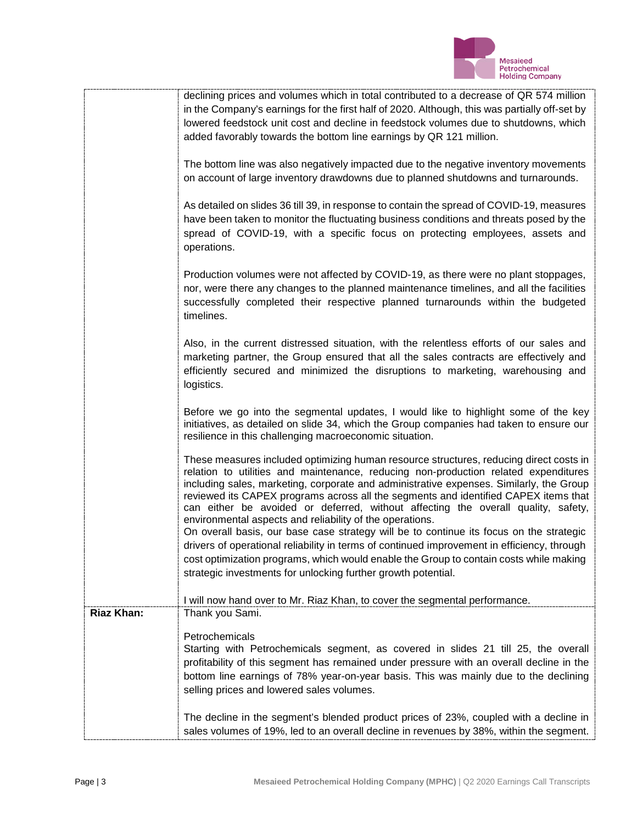

|                   | declining prices and volumes which in total contributed to a decrease of QR 574 million<br>in the Company's earnings for the first half of 2020. Although, this was partially off-set by<br>lowered feedstock unit cost and decline in feedstock volumes due to shutdowns, which<br>added favorably towards the bottom line earnings by QR 121 million.                                                                                                                                                                                                                                                     |
|-------------------|-------------------------------------------------------------------------------------------------------------------------------------------------------------------------------------------------------------------------------------------------------------------------------------------------------------------------------------------------------------------------------------------------------------------------------------------------------------------------------------------------------------------------------------------------------------------------------------------------------------|
|                   | The bottom line was also negatively impacted due to the negative inventory movements<br>on account of large inventory drawdowns due to planned shutdowns and turnarounds.                                                                                                                                                                                                                                                                                                                                                                                                                                   |
|                   | As detailed on slides 36 till 39, in response to contain the spread of COVID-19, measures<br>have been taken to monitor the fluctuating business conditions and threats posed by the<br>spread of COVID-19, with a specific focus on protecting employees, assets and<br>operations.                                                                                                                                                                                                                                                                                                                        |
|                   | Production volumes were not affected by COVID-19, as there were no plant stoppages,<br>nor, were there any changes to the planned maintenance timelines, and all the facilities<br>successfully completed their respective planned turnarounds within the budgeted<br>timelines.                                                                                                                                                                                                                                                                                                                            |
|                   | Also, in the current distressed situation, with the relentless efforts of our sales and<br>marketing partner, the Group ensured that all the sales contracts are effectively and<br>efficiently secured and minimized the disruptions to marketing, warehousing and<br>logistics.                                                                                                                                                                                                                                                                                                                           |
|                   | Before we go into the segmental updates, I would like to highlight some of the key<br>initiatives, as detailed on slide 34, which the Group companies had taken to ensure our<br>resilience in this challenging macroeconomic situation.                                                                                                                                                                                                                                                                                                                                                                    |
|                   | These measures included optimizing human resource structures, reducing direct costs in<br>relation to utilities and maintenance, reducing non-production related expenditures<br>including sales, marketing, corporate and administrative expenses. Similarly, the Group<br>reviewed its CAPEX programs across all the segments and identified CAPEX items that<br>can either be avoided or deferred, without affecting the overall quality, safety,<br>environmental aspects and reliability of the operations.<br>On overall basis, our base case strategy will be to continue its focus on the strategic |
|                   | drivers of operational reliability in terms of continued improvement in efficiency, through<br>cost optimization programs, which would enable the Group to contain costs while making<br>strategic investments for unlocking further growth potential.                                                                                                                                                                                                                                                                                                                                                      |
|                   | I will now hand over to Mr. Riaz Khan, to cover the segmental performance.                                                                                                                                                                                                                                                                                                                                                                                                                                                                                                                                  |
| <b>Riaz Khan:</b> | Thank you Sami.                                                                                                                                                                                                                                                                                                                                                                                                                                                                                                                                                                                             |
|                   | Petrochemicals<br>Starting with Petrochemicals segment, as covered in slides 21 till 25, the overall<br>profitability of this segment has remained under pressure with an overall decline in the<br>bottom line earnings of 78% year-on-year basis. This was mainly due to the declining<br>selling prices and lowered sales volumes.                                                                                                                                                                                                                                                                       |
|                   | The decline in the segment's blended product prices of 23%, coupled with a decline in<br>sales volumes of 19%, led to an overall decline in revenues by 38%, within the segment.                                                                                                                                                                                                                                                                                                                                                                                                                            |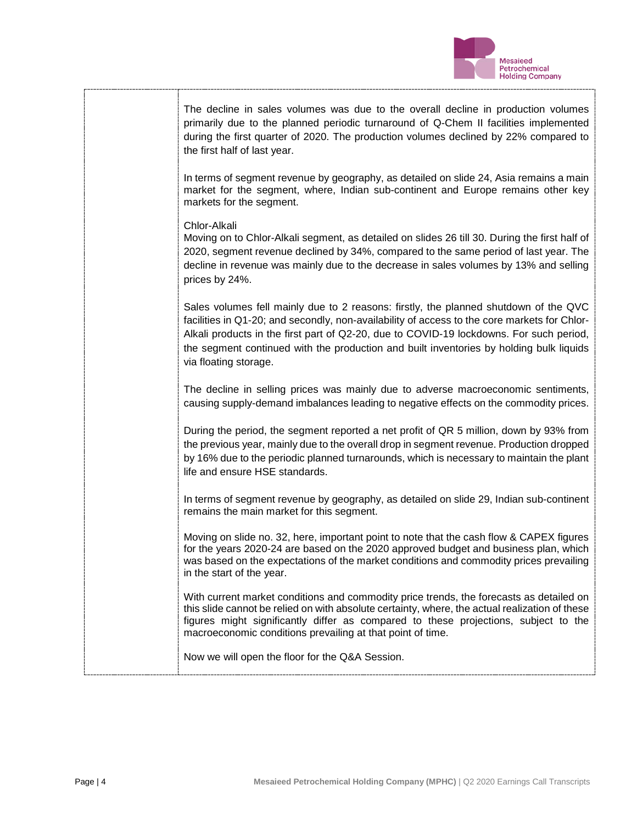

| The decline in sales volumes was due to the overall decline in production volumes<br>primarily due to the planned periodic turnaround of Q-Chem II facilities implemented<br>during the first quarter of 2020. The production volumes declined by 22% compared to<br>the first half of last year.                                                                                                   |
|-----------------------------------------------------------------------------------------------------------------------------------------------------------------------------------------------------------------------------------------------------------------------------------------------------------------------------------------------------------------------------------------------------|
| In terms of segment revenue by geography, as detailed on slide 24, Asia remains a main<br>market for the segment, where, Indian sub-continent and Europe remains other key<br>markets for the segment.                                                                                                                                                                                              |
| Chlor-Alkali<br>Moving on to Chlor-Alkali segment, as detailed on slides 26 till 30. During the first half of<br>2020, segment revenue declined by 34%, compared to the same period of last year. The<br>decline in revenue was mainly due to the decrease in sales volumes by 13% and selling<br>prices by 24%.                                                                                    |
| Sales volumes fell mainly due to 2 reasons: firstly, the planned shutdown of the QVC<br>facilities in Q1-20; and secondly, non-availability of access to the core markets for Chlor-<br>Alkali products in the first part of Q2-20, due to COVID-19 lockdowns. For such period,<br>the segment continued with the production and built inventories by holding bulk liquids<br>via floating storage. |
| The decline in selling prices was mainly due to adverse macroeconomic sentiments,<br>causing supply-demand imbalances leading to negative effects on the commodity prices.                                                                                                                                                                                                                          |
| During the period, the segment reported a net profit of QR 5 million, down by 93% from<br>the previous year, mainly due to the overall drop in segment revenue. Production dropped<br>by 16% due to the periodic planned turnarounds, which is necessary to maintain the plant<br>life and ensure HSE standards.                                                                                    |
| In terms of segment revenue by geography, as detailed on slide 29, Indian sub-continent<br>remains the main market for this segment.                                                                                                                                                                                                                                                                |
| Moving on slide no. 32, here, important point to note that the cash flow & CAPEX figures<br>for the years 2020-24 are based on the 2020 approved budget and business plan, which<br>was based on the expectations of the market conditions and commodity prices prevailing<br>in the start of the year.                                                                                             |
| With current market conditions and commodity price trends, the forecasts as detailed on<br>this slide cannot be relied on with absolute certainty, where, the actual realization of these<br>figures might significantly differ as compared to these projections, subject to the<br>macroeconomic conditions prevailing at that point of time.                                                      |
| Now we will open the floor for the Q&A Session.                                                                                                                                                                                                                                                                                                                                                     |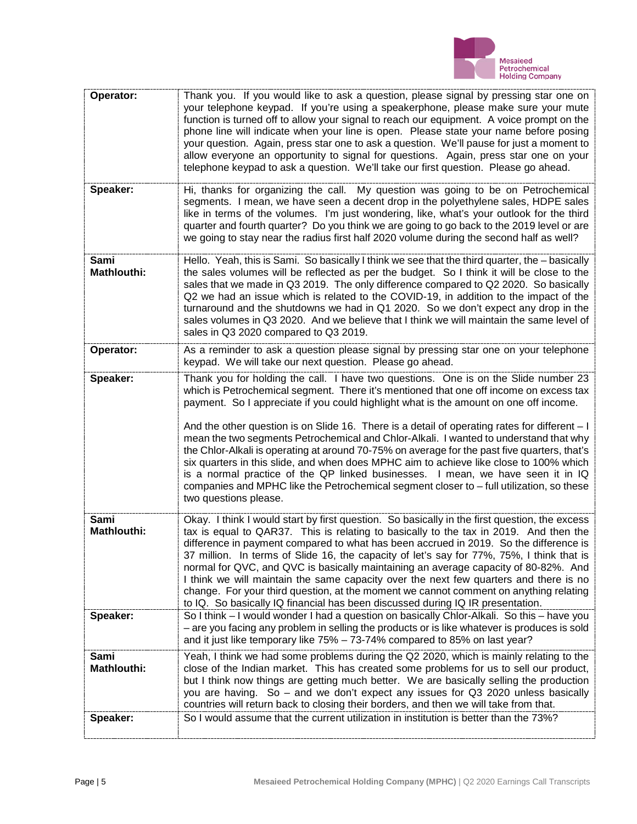

| Operator:                         | Thank you. If you would like to ask a question, please signal by pressing star one on<br>your telephone keypad. If you're using a speakerphone, please make sure your mute<br>function is turned off to allow your signal to reach our equipment. A voice prompt on the<br>phone line will indicate when your line is open. Please state your name before posing<br>your question. Again, press star one to ask a question. We'll pause for just a moment to<br>allow everyone an opportunity to signal for questions. Again, press star one on your<br>telephone keypad to ask a question. We'll take our first question. Please go ahead.                                                                                                                                                                                                                           |
|-----------------------------------|-----------------------------------------------------------------------------------------------------------------------------------------------------------------------------------------------------------------------------------------------------------------------------------------------------------------------------------------------------------------------------------------------------------------------------------------------------------------------------------------------------------------------------------------------------------------------------------------------------------------------------------------------------------------------------------------------------------------------------------------------------------------------------------------------------------------------------------------------------------------------|
| Speaker:                          | Hi, thanks for organizing the call. My question was going to be on Petrochemical<br>segments. I mean, we have seen a decent drop in the polyethylene sales, HDPE sales<br>like in terms of the volumes. I'm just wondering, like, what's your outlook for the third<br>quarter and fourth quarter? Do you think we are going to go back to the 2019 level or are<br>we going to stay near the radius first half 2020 volume during the second half as well?                                                                                                                                                                                                                                                                                                                                                                                                           |
| Sami<br><b>Mathlouthi:</b>        | Hello. Yeah, this is Sami. So basically I think we see that the third quarter, the - basically<br>the sales volumes will be reflected as per the budget. So I think it will be close to the<br>sales that we made in Q3 2019. The only difference compared to Q2 2020. So basically<br>Q2 we had an issue which is related to the COVID-19, in addition to the impact of the<br>turnaround and the shutdowns we had in Q1 2020. So we don't expect any drop in the<br>sales volumes in Q3 2020. And we believe that I think we will maintain the same level of<br>sales in Q3 2020 compared to Q3 2019.                                                                                                                                                                                                                                                               |
| Operator:                         | As a reminder to ask a question please signal by pressing star one on your telephone<br>keypad. We will take our next question. Please go ahead.                                                                                                                                                                                                                                                                                                                                                                                                                                                                                                                                                                                                                                                                                                                      |
| Speaker:                          | Thank you for holding the call. I have two questions. One is on the Slide number 23<br>which is Petrochemical segment. There it's mentioned that one off income on excess tax<br>payment. So I appreciate if you could highlight what is the amount on one off income.<br>And the other question is on Slide 16. There is a detail of operating rates for different $-1$<br>mean the two segments Petrochemical and Chlor-Alkali. I wanted to understand that why<br>the Chlor-Alkali is operating at around 70-75% on average for the past five quarters, that's<br>six quarters in this slide, and when does MPHC aim to achieve like close to 100% which<br>is a normal practice of the QP linked businesses. I mean, we have seen it in IQ<br>companies and MPHC like the Petrochemical segment closer to $-$ full utilization, so these<br>two questions please. |
| <b>Sami</b><br><b>Mathlouthi:</b> | Okay. I think I would start by first question. So basically in the first question, the excess<br>tax is equal to QAR37. This is relating to basically to the tax in 2019. And then the<br>difference in payment compared to what has been accrued in 2019. So the difference is<br>37 million. In terms of Slide 16, the capacity of let's say for 77%, 75%, I think that is<br>normal for QVC, and QVC is basically maintaining an average capacity of 80-82%. And<br>I think we will maintain the same capacity over the next few quarters and there is no<br>change. For your third question, at the moment we cannot comment on anything relating<br>to IQ. So basically IQ financial has been discussed during IQ IR presentation.                                                                                                                               |
| Speaker:                          | So I think – I would wonder I had a question on basically Chlor-Alkali. So this – have you<br>- are you facing any problem in selling the products or is like whatever is produces is sold<br>and it just like temporary like 75% - 73-74% compared to 85% on last year?                                                                                                                                                                                                                                                                                                                                                                                                                                                                                                                                                                                              |
| Sami<br><b>Mathlouthi:</b>        | Yeah, I think we had some problems during the Q2 2020, which is mainly relating to the<br>close of the Indian market. This has created some problems for us to sell our product,<br>but I think now things are getting much better. We are basically selling the production<br>you are having. So - and we don't expect any issues for Q3 2020 unless basically<br>countries will return back to closing their borders, and then we will take from that.                                                                                                                                                                                                                                                                                                                                                                                                              |
| Speaker:                          | So I would assume that the current utilization in institution is better than the 73%?                                                                                                                                                                                                                                                                                                                                                                                                                                                                                                                                                                                                                                                                                                                                                                                 |